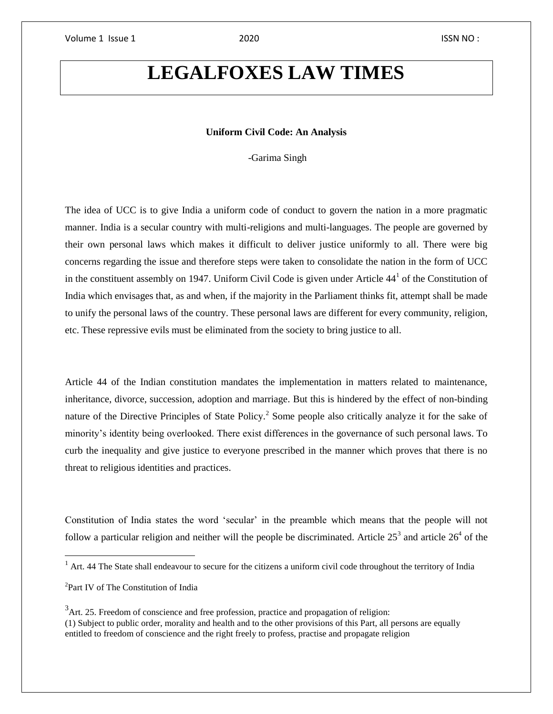## **LEGALFOXES LAW TIMES**

**Uniform Civil Code: An Analysis**

-Garima Singh

The idea of UCC is to give India a uniform code of conduct to govern the nation in a more pragmatic manner. India is a secular country with multi-religions and multi-languages. The people are governed by their own personal laws which makes it difficult to deliver justice uniformly to all. There were big concerns regarding the issue and therefore steps were taken to consolidate the nation in the form of UCC in the constituent assembly on 1947. Uniform Civil Code is given under Article  $44<sup>1</sup>$  of the Constitution of India which envisages that, as and when, if the majority in the Parliament thinks fit, attempt shall be made to unify the personal laws of the country. These personal laws are different for every community, religion, etc. These repressive evils must be eliminated from the society to bring justice to all.

Article 44 of the Indian constitution mandates the implementation in matters related to maintenance, inheritance, divorce, succession, adoption and marriage. But this is hindered by the effect of non-binding nature of the Directive Principles of State Policy.<sup>2</sup> Some people also critically analyze it for the sake of minority's identity being overlooked. There exist differences in the governance of such personal laws. To curb the inequality and give justice to everyone prescribed in the manner which proves that there is no threat to religious identities and practices.

Constitution of India states the word 'secular' in the preamble which means that the people will not follow a particular religion and neither will the people be discriminated. Article  $25<sup>3</sup>$  and article  $26<sup>4</sup>$  of the

<sup>2</sup>Part IV of The Constitution of India

 $\overline{a}$ 

 $1$  Art. 44 The State shall endeavour to secure for the citizens a uniform civil code throughout the territory of India

 $3$ Art. 25. Freedom of conscience and free profession, practice and propagation of religion: (1) Subject to public order, morality and health and to the other provisions of this Part, all persons are equally entitled to freedom of conscience and the right freely to profess, practise and propagate religion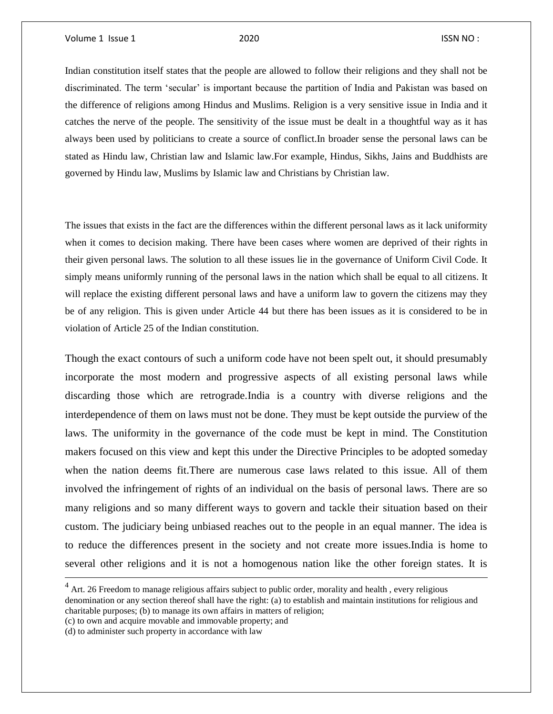Indian constitution itself states that the people are allowed to follow their religions and they shall not be discriminated. The term 'secular' is important because the partition of India and Pakistan was based on the difference of religions among Hindus and Muslims. Religion is a very sensitive issue in India and it catches the nerve of the people. The sensitivity of the issue must be dealt in a thoughtful way as it has always been used by politicians to create a source of conflict.In broader sense the personal laws can be stated as Hindu law, Christian law and Islamic law.For example, Hindus, Sikhs, Jains and Buddhists are governed by Hindu law, Muslims by Islamic law and Christians by Christian law.

The issues that exists in the fact are the differences within the different personal laws as it lack uniformity when it comes to decision making. There have been cases where women are deprived of their rights in their given personal laws. The solution to all these issues lie in the governance of Uniform Civil Code. It simply means uniformly running of the personal laws in the nation which shall be equal to all citizens. It will replace the existing different personal laws and have a uniform law to govern the citizens may they be of any religion. This is given under Article 44 but there has been issues as it is considered to be in violation of Article 25 of the Indian constitution.

Though the exact contours of such a uniform code have not been spelt out, it should presumably incorporate the most modern and progressive aspects of all existing personal laws while discarding those which are retrograde.India is a country with diverse religions and the interdependence of them on laws must not be done. They must be kept outside the purview of the laws. The uniformity in the governance of the code must be kept in mind. The Constitution makers focused on this view and kept this under the Directive Principles to be adopted someday when the nation deems fit.There are numerous case laws related to this issue. All of them involved the infringement of rights of an individual on the basis of personal laws. There are so many religions and so many different ways to govern and tackle their situation based on their custom. The judiciary being unbiased reaches out to the people in an equal manner. The idea is to reduce the differences present in the society and not create more issues.India is home to several other religions and it is not a homogenous nation like the other foreign states. It is

(c) to own and acquire movable and immovable property; and

 $\overline{\phantom{a}}$ 

 $4$  Art. 26 Freedom to manage religious affairs subject to public order, morality and health, every religious denomination or any section thereof shall have the right: (a) to establish and maintain institutions for religious and charitable purposes; (b) to manage its own affairs in matters of religion;

<sup>(</sup>d) to administer such property in accordance with law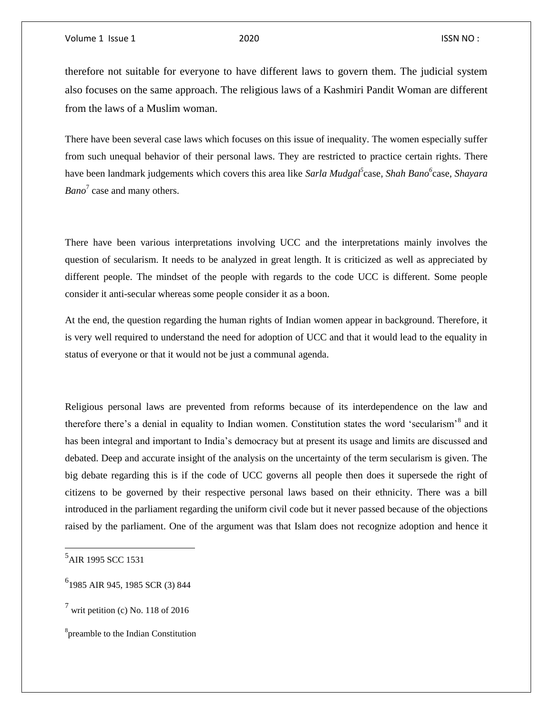therefore not suitable for everyone to have different laws to govern them. The judicial system also focuses on the same approach. The religious laws of a Kashmiri Pandit Woman are different from the laws of a Muslim woman.

There have been several case laws which focuses on this issue of inequality. The women especially suffer from such unequal behavior of their personal laws. They are restricted to practice certain rights. There have been landmark judgements which covers this area like *Sarla Mudgal<sup>5</sup>* case*, Shah Bano<sup>6</sup>* case*, Shayara Bano*<sup>7</sup> case and many others.

There have been various interpretations involving UCC and the interpretations mainly involves the question of secularism. It needs to be analyzed in great length. It is criticized as well as appreciated by different people. The mindset of the people with regards to the code UCC is different. Some people consider it anti-secular whereas some people consider it as a boon.

At the end, the question regarding the human rights of Indian women appear in background. Therefore, it is very well required to understand the need for adoption of UCC and that it would lead to the equality in status of everyone or that it would not be just a communal agenda.

Religious personal laws are prevented from reforms because of its interdependence on the law and therefore there's a denial in equality to Indian women. Constitution states the word 'secularism'<sup>8</sup> and it has been integral and important to India's democracy but at present its usage and limits are discussed and debated. Deep and accurate insight of the analysis on the uncertainty of the term secularism is given. The big debate regarding this is if the code of UCC governs all people then does it supersede the right of citizens to be governed by their respective personal laws based on their ethnicity. There was a bill introduced in the parliament regarding the uniform civil code but it never passed because of the objections raised by the parliament. One of the argument was that Islam does not recognize adoption and hence it

<sup>&</sup>lt;sub>5</sub><br>AIR 1995 SCC 1531

<sup>6</sup> 1985 AIR 945, 1985 SCR (3) 844

 $^7$  writ petition (c) No. 118 of 2016

<sup>&</sup>lt;sup>8</sup>preamble to the Indian Constitution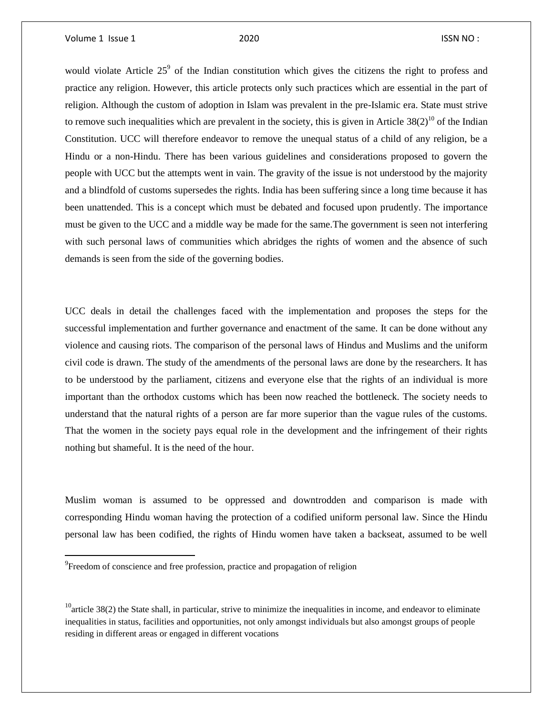Volume 1 Issue 1 2020 **ISSN NO**:

 $\overline{\phantom{a}}$ 

would violate Article  $25^9$  of the Indian constitution which gives the citizens the right to profess and practice any religion. However, this article protects only such practices which are essential in the part of religion. Although the custom of adoption in Islam was prevalent in the pre-Islamic era. State must strive to remove such inequalities which are prevalent in the society, this is given in Article  $38(2)^{10}$  of the Indian Constitution. UCC will therefore endeavor to remove the unequal status of a child of any religion, be a Hindu or a non-Hindu. There has been various guidelines and considerations proposed to govern the people with UCC but the attempts went in vain. The gravity of the issue is not understood by the majority and a blindfold of customs supersedes the rights. India has been suffering since a long time because it has been unattended. This is a concept which must be debated and focused upon prudently. The importance must be given to the UCC and a middle way be made for the same.The government is seen not interfering with such personal laws of communities which abridges the rights of women and the absence of such demands is seen from the side of the governing bodies.

UCC deals in detail the challenges faced with the implementation and proposes the steps for the successful implementation and further governance and enactment of the same. It can be done without any violence and causing riots. The comparison of the personal laws of Hindus and Muslims and the uniform civil code is drawn. The study of the amendments of the personal laws are done by the researchers. It has to be understood by the parliament, citizens and everyone else that the rights of an individual is more important than the orthodox customs which has been now reached the bottleneck. The society needs to understand that the natural rights of a person are far more superior than the vague rules of the customs. That the women in the society pays equal role in the development and the infringement of their rights nothing but shameful. It is the need of the hour.

Muslim woman is assumed to be oppressed and downtrodden and comparison is made with corresponding Hindu woman having the protection of a codified uniform personal law. Since the Hindu personal law has been codified, the rights of Hindu women have taken a backseat, assumed to be well

<sup>&</sup>lt;sup>9</sup> Freedom of conscience and free profession, practice and propagation of religion

 $10$ <sub>article 38(2)</sub> the State shall, in particular, strive to minimize the inequalities in income, and endeavor to eliminate inequalities in status, facilities and opportunities, not only amongst individuals but also amongst groups of people residing in different areas or engaged in different vocations